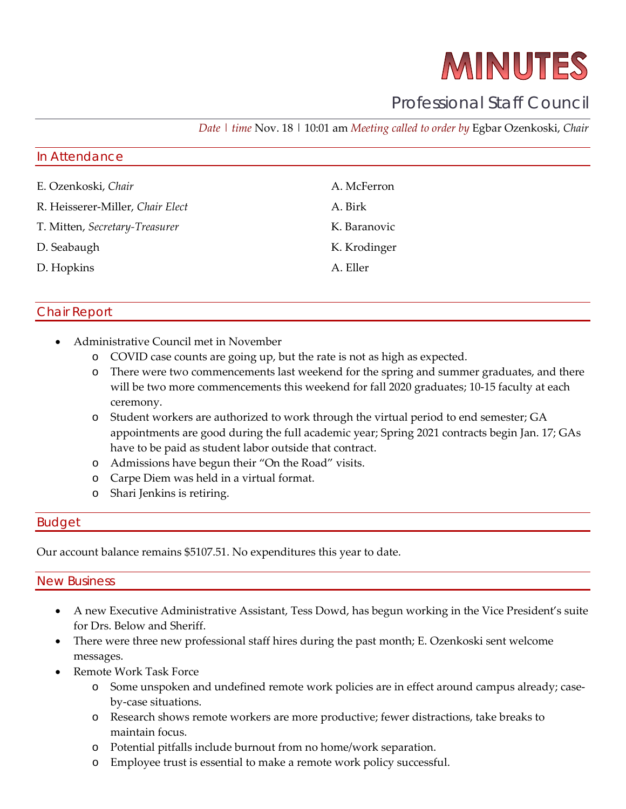# MINUTES

### Professional Staff Council

*Date | time* Nov. 18 | 10:01 am *Meeting called to order by* Egbar Ozenkoski, *Chair*

## In Attendance E. Ozenkoski, *Chair* A. McFerron

- R. Heisserer-Miller, *Chair Elect* A. Birk
- T. Mitten, *Secretary-Treasurer* K. Baranovic
- D. Seabaugh K. Krodinger
- D. Hopkins A. Eller

#### Chair Report

- Administrative Council met in November
	- o COVID case counts are going up, but the rate is not as high as expected.
	- o There were two commencements last weekend for the spring and summer graduates, and there will be two more commencements this weekend for fall 2020 graduates; 10-15 faculty at each ceremony.
	- o Student workers are authorized to work through the virtual period to end semester; GA appointments are good during the full academic year; Spring 2021 contracts begin Jan. 17; GAs have to be paid as student labor outside that contract.
	- o Admissions have begun their "On the Road" visits.
	- o Carpe Diem was held in a virtual format.
	- o Shari Jenkins is retiring.

#### Budget

Our account balance remains \$5107.51. No expenditures this year to date.

#### New Business

- A new Executive Administrative Assistant, Tess Dowd, has begun working in the Vice President's suite for Drs. Below and Sheriff.
- There were three new professional staff hires during the past month; E. Ozenkoski sent welcome messages.
- Remote Work Task Force
	- o Some unspoken and undefined remote work policies are in effect around campus already; caseby-case situations.
	- o Research shows remote workers are more productive; fewer distractions, take breaks to maintain focus.
	- o Potential pitfalls include burnout from no home/work separation.
	- o Employee trust is essential to make a remote work policy successful.